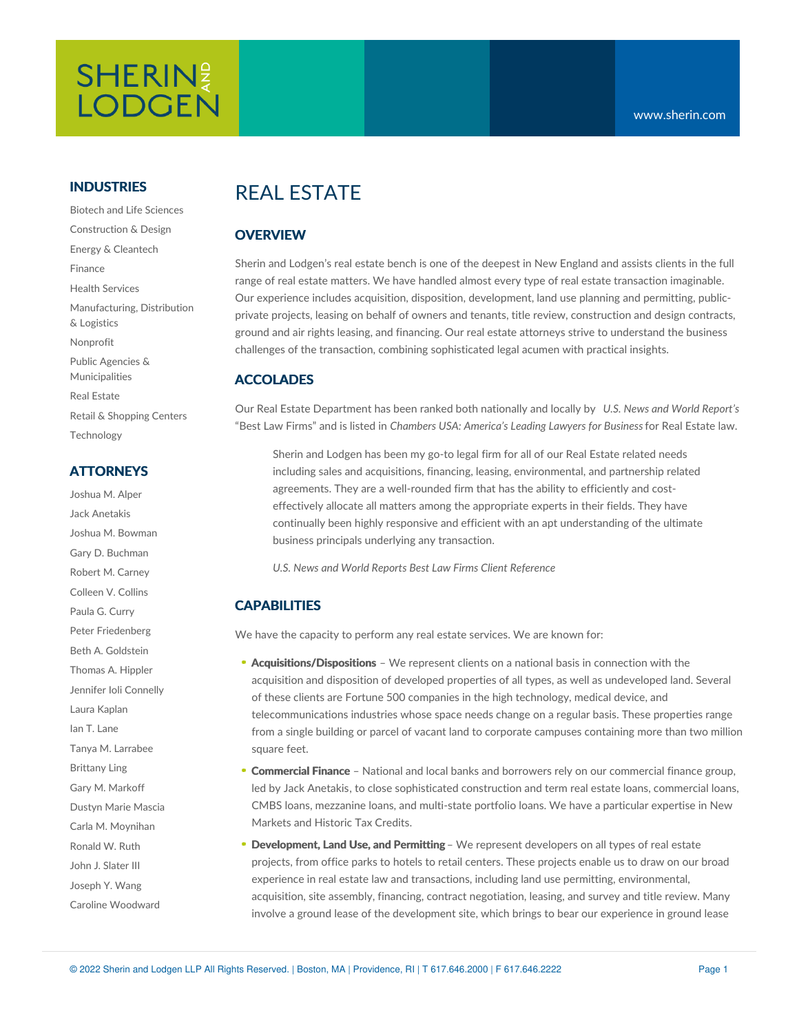# **SHERIN**<sup>2</sup> **LODGEN**

#### **INDUSTRIES**

Biotech and Life Sciences Construction & Design Energy & Cleantech Finance Health Services Manufacturing, Distribution & Logistics Nonprofit Public Agencies & Municipalities Real Estate Retail & Shopping Centers Technology

#### **ATTORNEYS**

Joshua M. Alper Jack Anetakis Joshua M. Bowman Gary D. Buchman Robert M. Carney Colleen V. Collins Paula G. Curry Peter Friedenberg Beth A. Goldstein Thomas A. Hippler Jennifer Ioli Connelly Laura Kaplan Ian T. Lane Tanya M. Larrabee Brittany Ling Gary M. Markoff Dustyn Marie Mascia Carla M. Moynihan Ronald W. Ruth John J. Slater III Joseph Y. Wang Caroline Woodward

## REAL ESTATE

#### **OVERVIEW**

Sherin and Lodgen's real estate bench is one of the deepest in New England and assists clients in the full range of real estate matters. We have handled almost every type of real estate transaction imaginable. Our experience includes acquisition, disposition, development, land use planning and permitting, publicprivate projects, leasing on behalf of owners and tenants, title review, construction and design contracts, ground and air rights leasing, and financing. Our real estate attorneys strive to understand the business challenges of the transaction, combining sophisticated legal acumen with practical insights.

#### **ACCOLADES**

Our Real Estate Department has been ranked both nationally and locally by *U.S. News and World Report's* "Best Law Firms" and is listed in *Chambers USA: America's Leading Lawyers for Business*for Real Estate law.

Sherin and Lodgen has been my go-to legal firm for all of our Real Estate related needs including sales and acquisitions, financing, leasing, environmental, and partnership related agreements. They are a well-rounded firm that has the ability to efficiently and costeffectively allocate all matters among the appropriate experts in their fields. They have continually been highly responsive and efficient with an apt understanding of the ultimate business principals underlying any transaction.

*U.S. News and World Reports Best Law Firms Client [Reference](https://bestlawfirms.usnews.com/profile/sherin-and-lodgen-llp/client-comments/17135)*

### **CAPABILITIES**

We have the capacity to perform any real estate services. We are known for:

- **[Acquisitions/Dispositions](https://www.sherin.com/practice-areas/real-estate/acquisitions-and-dispositions/)** We represent clients on a national basis in connection with the acquisition and disposition of developed properties of all types, as well as undeveloped land. Several of these clients are Fortune 500 companies in the high technology, medical device, and telecommunications industries whose space needs change on a regular basis. These properties range from a single building or parcel of vacant land to corporate campuses containing more than two million square feet.
- **[Commercial](https://www.sherin.com/practice-areas/commercial-finance/#overview) Finance** National and local banks and borrowers rely on our commercial finance group, led by Jack [Anetakis,](https://www.sherin.com/attorneys/jack-anetakis/) to close sophisticated construction and term real estate loans, commercial loans, CMBS loans, mezzanine loans, and multi-state portfolio loans. We have a particular expertise in New Markets and Historic Tax Credits.
- **[Development,](https://www.sherin.com/practice-areas/real-estate/development/) Land Use, and Permitting** We represent developers on all types of real estate projects, from office parks to hotels to retail centers. These projects enable us to draw on our broad experience in real estate law and transactions, including land use permitting, environmental, acquisition, site assembly, financing, contract negotiation, leasing, and survey and title review. Many involve a ground lease of the development site, which brings to bear our experience in ground lease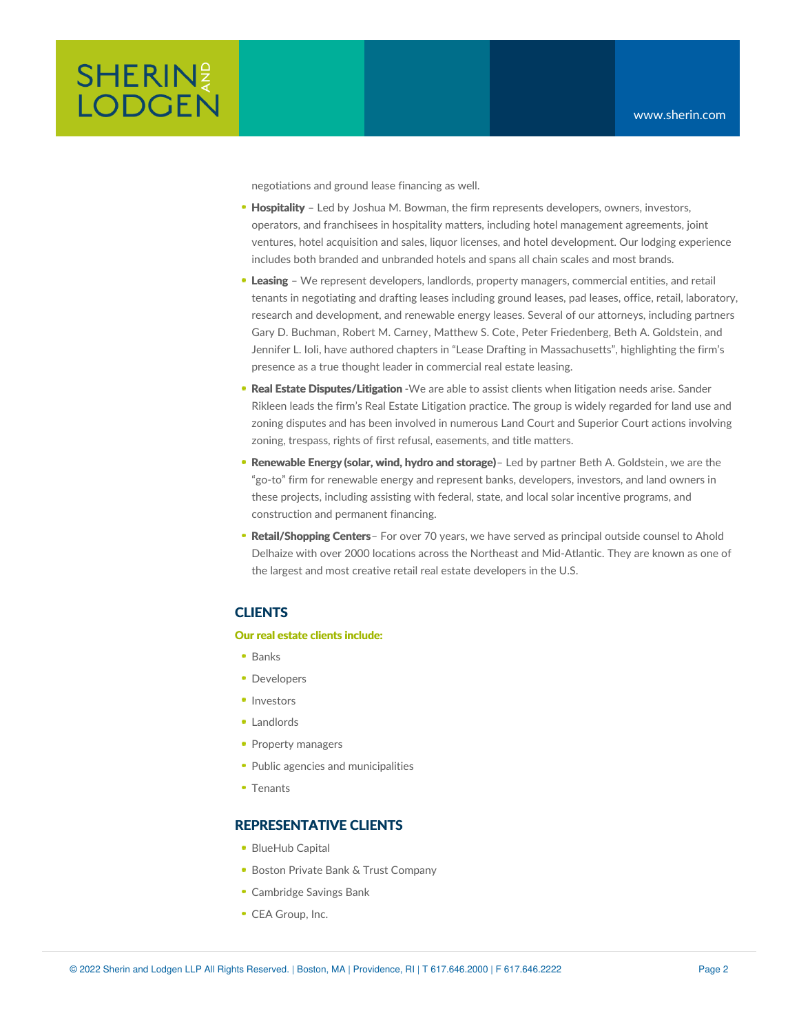

negotiations and ground lease financing as well.

- **[Hospitality](https://www.sherin.com/practice-areas/hospitality/)** Led by Joshua M. [Bowman](https://www.sherin.com/attorneys/joshua-m-bowman/), the firm represents developers, owners, investors, operators, and franchisees in hospitality matters, including hotel management agreements, joint ventures, hotel acquisition and sales, liquor licenses, and hotel development. Our lodging experience includes both branded and unbranded hotels and spans all chain scales and most brands.
- **[Leasing](https://www.sherin.com/practice-areas/real-estate/leasing/)** We represent developers, landlords, property managers, commercial entities, and retail tenants in negotiating and drafting leases including ground leases, pad leases, office, retail, laboratory, research and development, and renewable energy leases. Several of our attorneys, including partners Gary D. [Buchman](https://www.sherin.com/attorneys/gary-d-buchman/), Robert M. [Carney](https://www.sherin.com/attorneys/robert-m-carney/), [Matthew](https://www.sherin.com/attorneys/matthew-s-cote/) S. Cote, Peter [Friedenberg](https://www.sherin.com/attorneys/peter-friedenberg/), Beth A. [Goldstein](https://www.sherin.com/attorneys/beth-a-goldstein/), and [Jennifer](https://www.sherin.com/attorneys/jennifer-l-ioli/) L. Ioli, have authored chapters in "Lease Drafting in Massachusetts", highlighting the firm's presence as a true thought leader in commercial real estate leasing.
- **Real Estate [Disputes/Litigation](https://www.sherin.com/practice-areas/litigation/real-estate-litigation/)** -We are able to assist clients when litigation needs arise. Sander Rikleen leads the firm's Real Estate Litigation practice. The group is widely regarded for land use and zoning disputes and has been involved in numerous Land Court and Superior Court actions involving zoning, trespass, rights of first refusal, easements, and title matters.
- **[Renewable](https://www.sherin.com/practice-areas/renewable-energy/) Energy (solar, wind, hydro and storage)** Led by partner Beth A. [Goldstein](https://www.sherin.com/attorneys/beth-a-goldstein/), we are the "go-to" firm for renewable energy and represent banks, developers, investors, and land owners in these projects, including assisting with federal, state, and local solar incentive programs, and construction and permanent financing.
- **[Retail/Shopping](https://www.sherin.com/industries/retail-shopping-centers/) Centers** For over 70 years, we have served as principal outside counsel to Ahold Delhaize with over 2000 locations across the Northeast and Mid-Atlantic. They are known as one of the largest and most creative retail real estate developers in the U.S.

#### **CLIENTS**

#### **Our real estate clients include:**

- $Banks$
- **Developers**
- Investors
- Landlords
- Property managers
- Public agencies and municipalities
- Tenants

#### **REPRESENTATIVE CLIENTS**

- **BlueHub Capital**
- **Boston Private Bank & Trust Company**
- Cambridge Savings Bank
- CEA Group, Inc.